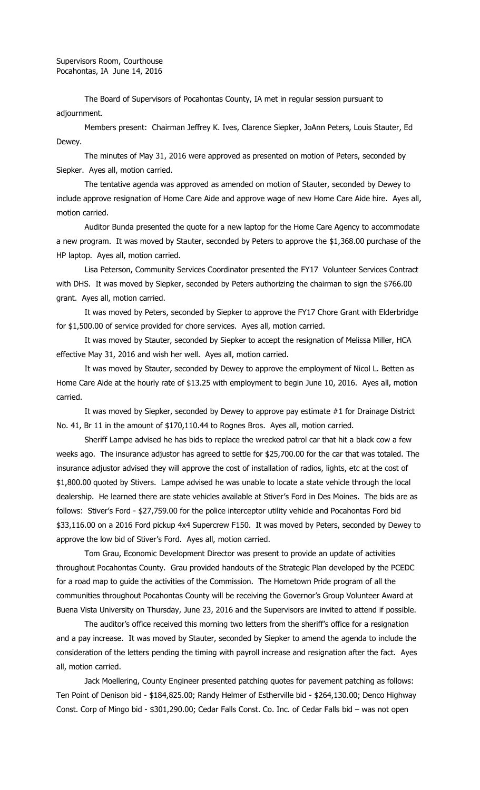The Board of Supervisors of Pocahontas County, IA met in regular session pursuant to adjournment.

Members present: Chairman Jeffrey K. Ives, Clarence Siepker, JoAnn Peters, Louis Stauter, Ed Dewey.

The minutes of May 31, 2016 were approved as presented on motion of Peters, seconded by Siepker. Ayes all, motion carried.

The tentative agenda was approved as amended on motion of Stauter, seconded by Dewey to include approve resignation of Home Care Aide and approve wage of new Home Care Aide hire. Ayes all, motion carried.

Auditor Bunda presented the quote for a new laptop for the Home Care Agency to accommodate a new program. It was moved by Stauter, seconded by Peters to approve the \$1,368.00 purchase of the HP laptop. Ayes all, motion carried.

Lisa Peterson, Community Services Coordinator presented the FY17 Volunteer Services Contract with DHS. It was moved by Siepker, seconded by Peters authorizing the chairman to sign the \$766.00 grant. Ayes all, motion carried.

It was moved by Peters, seconded by Siepker to approve the FY17 Chore Grant with Elderbridge for \$1,500.00 of service provided for chore services. Ayes all, motion carried.

It was moved by Stauter, seconded by Siepker to accept the resignation of Melissa Miller, HCA effective May 31, 2016 and wish her well. Ayes all, motion carried.

It was moved by Stauter, seconded by Dewey to approve the employment of Nicol L. Betten as Home Care Aide at the hourly rate of \$13.25 with employment to begin June 10, 2016. Ayes all, motion carried.

It was moved by Siepker, seconded by Dewey to approve pay estimate #1 for Drainage District No. 41, Br 11 in the amount of \$170,110.44 to Rognes Bros. Ayes all, motion carried.

Sheriff Lampe advised he has bids to replace the wrecked patrol car that hit a black cow a few weeks ago. The insurance adjustor has agreed to settle for \$25,700.00 for the car that was totaled. The insurance adjustor advised they will approve the cost of installation of radios, lights, etc at the cost of \$1,800.00 quoted by Stivers. Lampe advised he was unable to locate a state vehicle through the local dealership. He learned there are state vehicles available at Stiver's Ford in Des Moines. The bids are as follows: Stiver's Ford - \$27,759.00 for the police interceptor utility vehicle and Pocahontas Ford bid \$33,116.00 on a 2016 Ford pickup 4x4 Supercrew F150. It was moved by Peters, seconded by Dewey to approve the low bid of Stiver's Ford. Ayes all, motion carried.

Tom Grau, Economic Development Director was present to provide an update of activities throughout Pocahontas County. Grau provided handouts of the Strategic Plan developed by the PCEDC for a road map to guide the activities of the Commission. The Hometown Pride program of all the communities throughout Pocahontas County will be receiving the Governor's Group Volunteer Award at Buena Vista University on Thursday, June 23, 2016 and the Supervisors are invited to attend if possible.

The auditor's office received this morning two letters from the sheriff's office for a resignation and a pay increase. It was moved by Stauter, seconded by Siepker to amend the agenda to include the consideration of the letters pending the timing with payroll increase and resignation after the fact. Ayes all, motion carried.

Jack Moellering, County Engineer presented patching quotes for pavement patching as follows: Ten Point of Denison bid - \$184,825.00; Randy Helmer of Estherville bid - \$264,130.00; Denco Highway Const. Corp of Mingo bid - \$301,290.00; Cedar Falls Const. Co. Inc. of Cedar Falls bid – was not open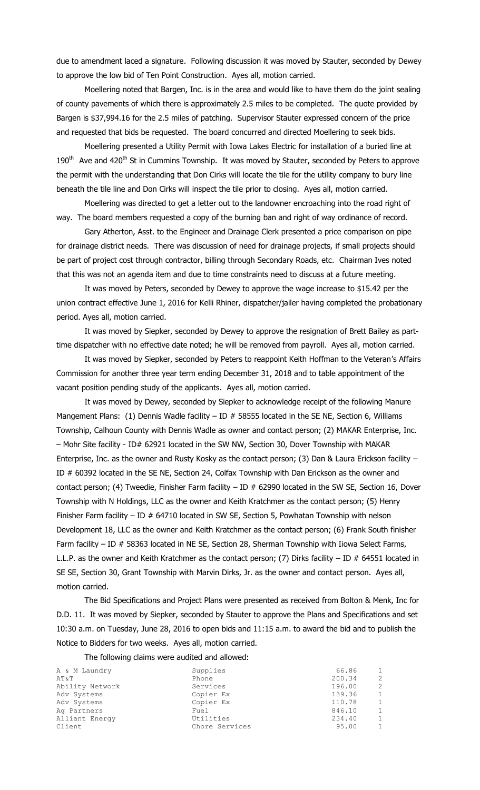due to amendment laced a signature. Following discussion it was moved by Stauter, seconded by Dewey to approve the low bid of Ten Point Construction. Ayes all, motion carried.

Moellering noted that Bargen, Inc. is in the area and would like to have them do the joint sealing of county pavements of which there is approximately 2.5 miles to be completed. The quote provided by Bargen is \$37,994.16 for the 2.5 miles of patching. Supervisor Stauter expressed concern of the price and requested that bids be requested. The board concurred and directed Moellering to seek bids.

Moellering presented a Utility Permit with Iowa Lakes Electric for installation of a buried line at  $190<sup>th</sup>$  Ave and 420<sup>th</sup> St in Cummins Township. It was moved by Stauter, seconded by Peters to approve the permit with the understanding that Don Cirks will locate the tile for the utility company to bury line beneath the tile line and Don Cirks will inspect the tile prior to closing. Ayes all, motion carried.

Moellering was directed to get a letter out to the landowner encroaching into the road right of way. The board members requested a copy of the burning ban and right of way ordinance of record.

Gary Atherton, Asst. to the Engineer and Drainage Clerk presented a price comparison on pipe for drainage district needs. There was discussion of need for drainage projects, if small projects should be part of project cost through contractor, billing through Secondary Roads, etc. Chairman Ives noted that this was not an agenda item and due to time constraints need to discuss at a future meeting.

It was moved by Peters, seconded by Dewey to approve the wage increase to \$15.42 per the union contract effective June 1, 2016 for Kelli Rhiner, dispatcher/jailer having completed the probationary period. Ayes all, motion carried.

It was moved by Siepker, seconded by Dewey to approve the resignation of Brett Bailey as parttime dispatcher with no effective date noted; he will be removed from payroll. Ayes all, motion carried.

It was moved by Siepker, seconded by Peters to reappoint Keith Hoffman to the Veteran's Affairs Commission for another three year term ending December 31, 2018 and to table appointment of the vacant position pending study of the applicants. Ayes all, motion carried.

It was moved by Dewey, seconded by Siepker to acknowledge receipt of the following Manure Mangement Plans: (1) Dennis Wadle facility – ID  $#$  58555 located in the SE NE, Section 6, Williams Township, Calhoun County with Dennis Wadle as owner and contact person; (2) MAKAR Enterprise, Inc. – Mohr Site facility - ID# 62921 located in the SW NW, Section 30, Dover Township with MAKAR Enterprise, Inc. as the owner and Rusty Kosky as the contact person; (3) Dan & Laura Erickson facility – ID # 60392 located in the SE NE, Section 24, Colfax Township with Dan Erickson as the owner and contact person; (4) Tweedie, Finisher Farm facility - ID # 62990 located in the SW SE, Section 16, Dover Township with N Holdings, LLC as the owner and Keith Kratchmer as the contact person; (5) Henry Finisher Farm facility – ID  $#$  64710 located in SW SE, Section 5, Powhatan Township with nelson Development 18, LLC as the owner and Keith Kratchmer as the contact person; (6) Frank South finisher Farm facility – ID # 58363 located in NE SE, Section 28, Sherman Township with Iiowa Select Farms, L.L.P. as the owner and Keith Kratchmer as the contact person;  $(7)$  Dirks facility – ID # 64551 located in SE SE, Section 30, Grant Township with Marvin Dirks, Jr. as the owner and contact person. Ayes all, motion carried.

The Bid Specifications and Project Plans were presented as received from Bolton & Menk, Inc for D.D. 11. It was moved by Siepker, seconded by Stauter to approve the Plans and Specifications and set 10:30 a.m. on Tuesday, June 28, 2016 to open bids and 11:15 a.m. to award the bid and to publish the Notice to Bidders for two weeks. Ayes all, motion carried.

The following claims were audited and allowed:

| A & M Laundry<br><b>AT&amp;T</b> | Supplies<br>Phone | 66.86<br>200.34 | $\mathbf{1}$<br>2 |
|----------------------------------|-------------------|-----------------|-------------------|
| Ability Network                  | Services          | 196.00          | 2                 |
| Adv Systems                      | Copier Ex         | 139.36          | 1                 |
| Adv Systems                      | Copier Ex         | 110.78          | 1                 |
| Aq Partners                      | Fuel              | 846.10          | $\mathbf{1}$      |
| Alliant Energy                   | Utilities         | 234.40          | 1                 |
| Client                           | Chore Services    | 95.00           | $\mathbf{1}$      |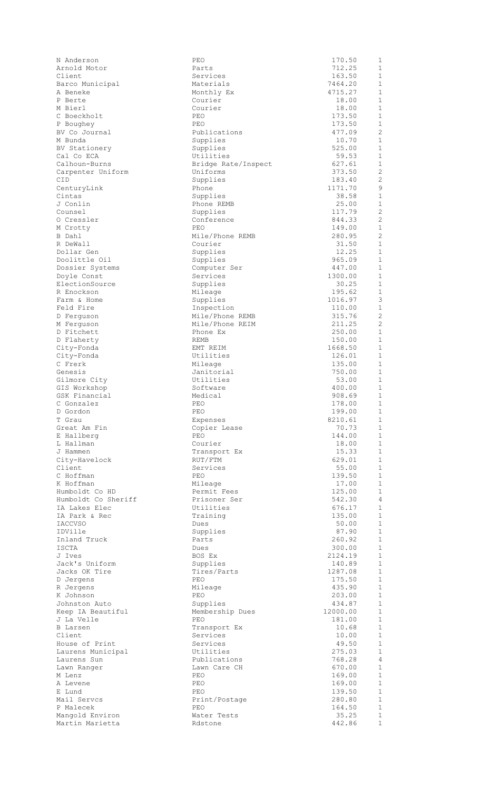| N Anderson                         | PEO                         | 170.50             | 1                                |
|------------------------------------|-----------------------------|--------------------|----------------------------------|
| Arnold Motor                       | Parts                       | 712.25             | 1                                |
| Client                             | Services                    | 163.50             | $\mathbf{1}$                     |
| Barco Municipal                    | Materials                   | 7464.20            | $\mathbf{1}$                     |
| A Beneke                           | Monthly Ex                  | 4715.27            | $\mathbf{1}$                     |
| P Berte                            | Courier                     | 18.00              | 1<br>$\mathbf{1}$                |
| M Bierl<br>C Boeckholt             | Courier<br>PEO              | 18.00<br>173.50    | 1                                |
| P Boughey                          | PEO                         | 173.50             | 1                                |
| BV Co Journal                      | Publications                | 477.09             | $\overline{c}$                   |
| M Bunda                            | Supplies                    | 10.70              | 1                                |
| BV Stationery                      | Supplies                    | 525.00             | 1                                |
| Cal Co ECA                         | Utilities                   | 59.53              | $1\,$                            |
| Calhoun-Burns                      | Bridge Rate/Inspect         | 627.61             | $\mathbf{1}$                     |
| Carpenter Uniform                  | Uniforms                    | 373.50             | $\overline{2}$                   |
| CID                                | Supplies                    | 183.40             | $\overline{c}$                   |
| CenturyLink                        | Phone                       | 1171.70            | 9                                |
| Cintas                             | Supplies                    | 38.58              | $\mathbf 1$                      |
| J Conlin                           | Phone REMB                  | 25.00              | 1                                |
| Counsel                            | Supplies                    | 117.79             | $\overline{c}$<br>$\overline{2}$ |
| 0 Cressler                         | Conference<br>PEO           | 844.33             | 1                                |
| M Crotty<br>B Dahl                 | Mile/Phone REMB             | 149.00<br>280.95   | $\overline{c}$                   |
| R DeWall                           | Courier                     | 31.50              | $\mathbf{1}$                     |
| Dollar Gen                         | Supplies                    | 12.25              | $\mathbf{1}$                     |
| Doolittle Oil                      | Supplies                    | 965.09             | 1                                |
| Dossier Systems                    | Computer Ser                | 447.00             | $\mathbf{1}$                     |
| Doyle Const                        | Services                    | 1300.00            | $\mathbf{1}$                     |
| ElectionSource                     | Supplies                    | 30.25              | 1                                |
| R Enockson                         | Mileage                     | 195.62             | $\mathbf{1}$                     |
| Farm & Home                        | Supplies                    | 1016.97            | 3                                |
| Feld Fire                          | Inspection                  | 110.00             | 1                                |
| D Ferguson                         | Mile/Phone REMB             | 315.76             | $\overline{c}$                   |
| M Ferguson                         | Mile/Phone REIM             | 211.25             | $\overline{c}$                   |
| D Fitchett                         | Phone Ex                    | 250.00             | $\mathbf{1}$                     |
| D Flaherty<br>City-Fonda           | REMB<br>EMT REIM            | 150.00<br>1668.50  | 1<br>$\mathbf{1}$                |
| City-Fonda                         | Utilities                   | 126.01             | 1                                |
| C Frerk                            | Mileage                     | 135.00             | 1                                |
| Genesis                            | Janitorial                  | 750.00             | 1                                |
| Gilmore City                       | Utilities                   | 53.00              | 1                                |
| GIS Workshop                       | Software                    | 400.00             | 1                                |
| GSK Financial                      | Medical                     | 908.69             | $\mathbf{1}$                     |
| C Gonzalez                         | PEO                         | 178.00             | $\mathbf{1}$                     |
| D Gordon                           | PEO                         | 199.00             | $\mathbf 1$                      |
| T Grau<br>Great Am Fin             | Expenses<br>Copier Lease    | 8210.61<br>70.73   | 1<br>$\mathbf{1}$                |
| E Hallberg                         | <b>PEO</b>                  | 144.00             | $\mathbf{1}$                     |
| L Hallman                          | Courier                     | 18.00              | $\mathbf{1}$                     |
| J Hammen                           | Transport Ex                | 15.33              | $1\,$                            |
| City-Havelock                      | RUT/FTM                     | 629.01             | $1\,$                            |
| Client                             | Services                    | 55.00              | $\mathbf{1}$                     |
| C Hoffman                          | PEO                         | 139.50             | $\mathbf{1}$                     |
| K Hoffman                          | Mileage                     | 17.00              | $\mathbf{1}$                     |
| Humboldt Co HD                     | Permit Fees                 | 125.00             | $\mathbf{1}$                     |
| Humboldt Co Sheriff                | Prisoner Ser                | 542.30             | $\overline{4}$                   |
| IA Lakes Elec                      | Utilities                   | 676.17             | $1\,$<br>$\mathbf{1}$            |
| IA Park & Rec<br><b>IACCVSO</b>    | Training<br>Dues            | 135.00<br>50.00    | $\mathbf{1}$                     |
| IDVille                            | Supplies                    | 87.90              | $1\,$                            |
| Inland Truck                       | Parts                       | 260.92             | $1\,$                            |
| <b>ISCTA</b>                       | Dues                        | 300.00             | 1                                |
| J Ives                             | BOS Ex                      | 2124.19            | $1\,$                            |
| Jack's Uniform                     | Supplies                    | 140.89             | $\mathbf{1}$                     |
| Jacks OK Tire                      | Tires/Parts                 | 1287.08            | $\mathbf{1}$                     |
| D Jergens                          | PEO                         | 175.50             | $\mathbf{1}$                     |
| R Jergens                          | Mileage                     | 435.90             | $1\,$                            |
| K Johnson                          | PEO                         | 203.00             | $\mathbf{1}$<br>$\mathbf{1}$     |
| Johnston Auto<br>Keep IA Beautiful | Supplies<br>Membership Dues | 434.87<br>12000.00 | $1\,$                            |
| J La Velle                         | PEO                         | 181.00             | $1\,$                            |
| B Larsen                           | Transport Ex                | 10.68              | $\mathbf{1}$                     |
| Client                             | Services                    | 10.00              | $\mathbf{1}$                     |
| House of Print                     | Services                    | 49.50              | $\mathbf{1}$                     |
| Laurens Municipal                  | Utilities                   | 275.03             | 1                                |
| Laurens Sun                        | Publications                | 768.28             | $\overline{4}$                   |
| Lawn Ranger                        | Lawn Care CH                | 670.00             | $\mathbf{1}$                     |
| M Lenz                             | PEO                         | 169.00             | $\mathbf{1}$                     |
| A Levene<br>E Lund                 | PEO<br>PEO                  | 169.00<br>139.50   | $\mathbf{1}$<br>$\mathbf{1}$     |
| Mail Servcs                        | Print/Postage               | 280.80             | $1\,$                            |
| P Malecek                          | PEO                         | 164.50             | 1                                |
| Mangold Environ                    | Water Tests                 | 35.25              | $\mathbf{1}$                     |
| Martin Marietta                    | Rdstone                     | 442.86             | $\mathbf 1$                      |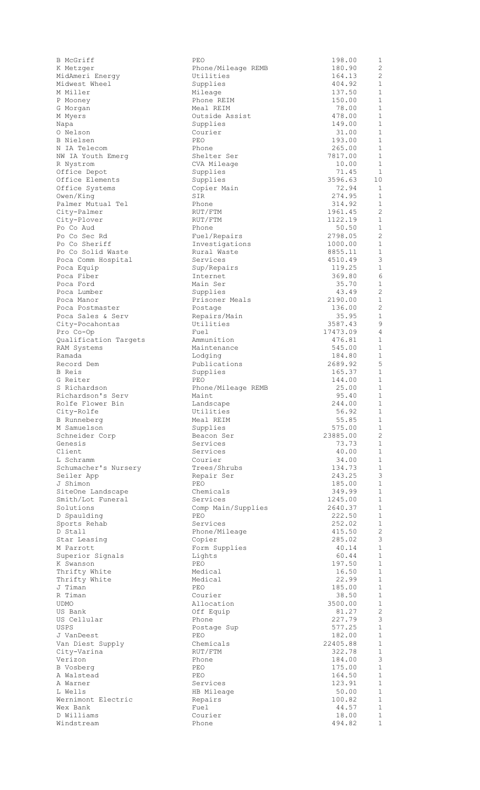| B McGriff                    | PEO                       | 198.00           | 1                            |
|------------------------------|---------------------------|------------------|------------------------------|
| K Metzger                    | Phone/Mileage REMB        | 180.90           | 2                            |
| MidAmeri Energy              | Utilities                 | 164.13           | 2                            |
| Midwest Wheel                | Supplies                  | 404.92           | $\mathbf{1}$                 |
| M Miller                     | Mileage                   | 137.50           | $\mathbf{1}$                 |
| P Mooney                     | Phone REIM                | 150.00           | 1<br>$\mathbf{1}$            |
| G Morgan                     | Meal REIM                 | 78.00            |                              |
| M Myers                      | Outside Assist            | 478.00           | $\mathbf{1}$<br>$\mathbf{1}$ |
| Napa<br>O Nelson             | Supplies<br>Courier       | 149.00<br>31.00  | $\mathbf{1}$                 |
| <b>B</b> Nielsen             | PEO                       | 193.00           | $\mathbf{1}$                 |
| N IA Telecom                 | Phone                     | 265.00           | $\mathbf{1}$                 |
| NW IA Youth Emerg            | Shelter Ser               | 7817.00          | $\mathbf{1}$                 |
| R Nystrom                    | CVA Mileage               | 10.00            | $\mathbf{1}$                 |
| Office Depot                 | Supplies                  | 71.45            | $\mathbf{1}$                 |
| Office Elements              | Supplies                  | 3596.63          | 10                           |
| Office Systems               | Copier Main               | 72.94            | 1                            |
| Owen/King                    | SIR                       | 274.95           | $\mathbf{1}$                 |
| Palmer Mutual Tel            | Phone                     | 314.92           | 1                            |
| City-Palmer                  | RUT/FTM                   | 1961.45          | 2                            |
| City-Plover                  | RUT/FTM                   | 1122.19          | $\mathbf{1}$                 |
| Po Co Aud                    | Phone                     | 50.50            | $\mathbf{1}$                 |
| Po Co Sec Rd                 | Fuel/Repairs              | 2798.05          | 2                            |
| Po Co Sheriff                | Investigations            | 1000.00          | $\mathbf{1}$                 |
| Po Co Solid Waste            | Rural Waste               | 8855.11          | $\mathbf{1}$                 |
| Poca Comm Hospital           | Services                  | 4510.49          | 3                            |
| Poca Equip                   | Sup/Repairs               | 119.25           | $\mathbf{1}$                 |
| Poca Fiber                   | Internet                  | 369.80           | 6                            |
| Poca Ford                    | Main Ser                  | 35.70            | $\mathbf{1}$                 |
| Poca Lumber                  | Supplies                  | 43.49            | 2                            |
| Poca Manor                   | Prisoner Meals            | 2190.00          | $\mathbf{1}$                 |
| Poca Postmaster              | Postage                   | 136.00           | 2<br>$\mathbf{1}$            |
| Poca Sales & Serv            | Repairs/Main<br>Utilities | 35.95<br>3587.43 | 9                            |
| City-Pocahontas<br>Pro Co-Op | Fuel                      | 17473.09         | 4                            |
| Qualification Targets        | Ammunition                | 476.81           | 1                            |
| RAM Systems                  | Maintenance               | 545.00           | $\mathbf{1}$                 |
| Ramada                       | Lodging                   | 184.80           | $\mathbf{1}$                 |
| Record Dem                   | Publications              | 2689.92          | 5                            |
| B Reis                       | Supplies                  | 165.37           | $\mathbf{1}$                 |
| G Reiter                     | PEO                       | 144.00           | $\mathbf{1}$                 |
|                              |                           |                  |                              |
| S Richardson                 | Phone/Mileage REMB        | 25.00            | $\mathbf{1}$                 |
| Richardson's Serv            | Maint                     | 95.40            | $\mathbf{1}$                 |
| Rolfe Flower Bin             | Landscape                 | 244.00           | $\mathbf 1$                  |
| City-Rolfe                   | Utilities                 | 56.92            | 1                            |
| <b>B</b> Runneberg           | Meal REIM                 | 55.85            | 1                            |
| M Samuelson                  | Supplies                  | 575.00           | $\mathbf{1}$                 |
| Schneider Corp               | Beacon Ser                | 23885.00         | 2                            |
| Genesis                      | Services                  | 73.73            | $\mathbf{1}$                 |
| Client                       | Services                  | 40.00            | $\mathbf{1}$                 |
| L Schramm                    | Courier                   | 34.00            | $\mathbf{1}$                 |
| Schumacher's Nursery         | Trees/Shrubs              | 134.73           | $\mathbf{1}$                 |
| Seiler App                   | Repair Ser                | 243.25           | $\mathsf 3$                  |
| J Shimon                     | PEO                       | 185.00           | $\mathbf{1}$                 |
| SiteOne Landscape            | Chemicals                 | 349.99           | $\mathbf{1}$                 |
| Smith/Lot Funeral            | Services                  | 1245.00          | $\mathbf{1}$                 |
| Solutions                    | Comp Main/Supplies        | 2640.37          | $\mathbf{1}$                 |
| D Spaulding                  | PEO<br>Services           | 222.50           | $\mathbf{1}$<br>$\mathbf{1}$ |
| Sports Rehab<br>D Stall      |                           | 252.02<br>415.50 |                              |
| Star Leasing                 | Phone/Mileage<br>Copier   | 285.02           | $\mathbf{2}$<br>3            |
| M Parrott                    | Form Supplies             | 40.14            | $\mathbf{1}$                 |
| Superior Signals             | Lights                    | 60.44            | $\mathbf{1}$                 |
| K Swanson                    | PEO                       | 197.50           | $\mathbf{1}$                 |
| Thrifty White                | Medical                   | 16.50            | $\mathbf{1}$                 |
| Thrifty White                | Medical                   | 22.99            | $\mathbf 1$                  |
| J Timan                      | PEO                       | 185.00           | $\mathbf{1}$                 |
| R Timan                      | Courier                   | 38.50            | $\mathbf{1}$                 |
| <b>UDMO</b>                  | Allocation                | 3500.00          | $\mathbf{1}$                 |
| US Bank                      | Off Equip                 | 81.27            | $\mathbf{2}$                 |
| US Cellular                  | Phone                     | 227.79           | $\mathfrak{Z}$               |
| <b>USPS</b>                  | Postage Sup               | 577.25           | $\mathbf{1}$                 |
| J VanDeest                   | <b>PEO</b>                | 182.00           | $\mathbf{1}$                 |
| Van Diest Supply             | Chemicals                 | 22405.88         | $\mathbf{1}$                 |
| City-Varina<br>Verizon       | RUT/FTM<br>Phone          | 322.78           | $\mathbf{1}$<br>3            |
| B Vosberg                    | PEO                       | 184.00           | $\mathbf{1}$                 |
| A Walstead                   | PEO                       | 175.00<br>164.50 | $\mathbf{1}$                 |
| A Warner                     | Services                  | 123.91           | $\mathbf{1}$                 |
| L Wells                      | HB Mileage                | 50.00            | $\mathbf{1}$                 |
| Wernimont Electric           | Repairs                   | 100.82           | $\mathbf{1}$                 |
| Wex Bank                     | Fuel                      | 44.57            | $\mathbf{1}$                 |
| D Williams<br>Windstream     | Courier<br>Phone          | 18.00<br>494.82  | $\mathbf{1}$<br>$\mathbf 1$  |